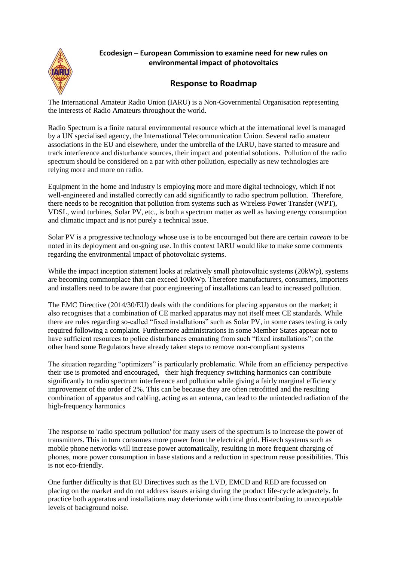

## **Ecodesign – European Commission to examine need for new rules on environmental impact of photovoltaics**

## **Response to Roadmap**

The International Amateur Radio Union (IARU) is a Non-Governmental Organisation representing the interests of Radio Amateurs throughout the world.

Radio Spectrum is a finite natural environmental resource which at the international level is managed by a UN specialised agency, the International Telecommunication Union. Several radio amateur associations in the EU and elsewhere, under the umbrella of the IARU, have started to measure and track interference and disturbance sources, their impact and potential solutions. Pollution of the radio spectrum should be considered on a par with other pollution, especially as new technologies are relying more and more on radio.

Equipment in the home and industry is employing more and more digital technology, which if not well-engineered and installed correctly can add significantly to radio spectrum pollution. Therefore, there needs to be recognition that pollution from systems such as Wireless Power Transfer (WPT), VDSL, wind turbines, Solar PV, etc., is both a spectrum matter as well as having energy consumption and climatic impact and is not purely a technical issue.

Solar PV is a progressive technology whose use is to be encouraged but there are certain *caveats* to be noted in its deployment and on-going use. In this context IARU would like to make some comments regarding the environmental impact of photovoltaic systems.

While the impact inception statement looks at relatively small photovoltaic systems (20kWp), systems are becoming commonplace that can exceed 100kWp. Therefore manufacturers, consumers, importers and installers need to be aware that poor engineering of installations can lead to increased pollution.

The EMC Directive (2014/30/EU) deals with the conditions for placing apparatus on the market; it also recognises that a combination of CE marked apparatus may not itself meet CE standards. While there are rules regarding so-called "fixed installations" such as Solar PV, in some cases testing is only required following a complaint. Furthermore administrations in some Member States appear not to have sufficient resources to police disturbances emanating from such "fixed installations"; on the other hand some Regulators have already taken steps to remove non-compliant systems

The situation regarding "optimizers" is particularly problematic. While from an efficiency perspective their use is promoted and encouraged, their high frequency switching harmonics can contribute significantly to radio spectrum interference and pollution while giving a fairly marginal efficiency improvement of the order of 2%. This can be because they are often retrofitted and the resulting combination of apparatus and cabling, acting as an antenna, can lead to the unintended radiation of the high-frequency harmonics

The response to 'radio spectrum pollution' for many users of the spectrum is to increase the power of transmitters. This in turn consumes more power from the electrical grid. Hi-tech systems such as mobile phone networks will increase power automatically, resulting in more frequent charging of phones, more power consumption in base stations and a reduction in spectrum reuse possibilities. This is not eco-friendly.

One further difficulty is that EU Directives such as the LVD, EMCD and RED are focussed on placing on the market and do not address issues arising during the product life-cycle adequately. In practice both apparatus and installations may deteriorate with time thus contributing to unacceptable levels of background noise.